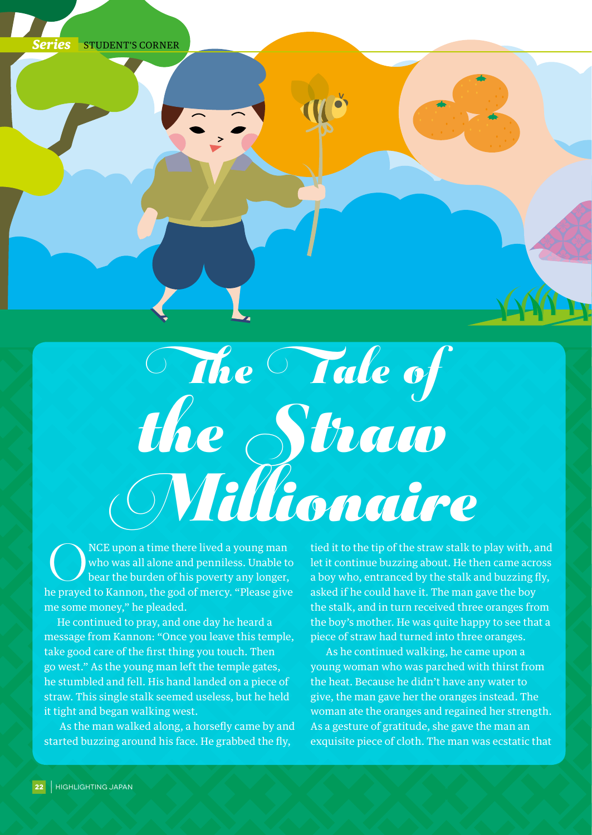

## The Tale of the Straw  $\label{eq:3} \bigcirc \hspace{-5pt}\bigcirc \hspace{-5pt}\bigcirc \hspace{-5pt}\bigcirc \hspace{-5pt}\bigcirc \hspace{-5pt}\bigcirc \hspace{-5pt}\bigcirc \hspace{-5pt}\bigcirc \hspace{-5pt}\bigcirc \hspace{-5pt}\bigcirc \hspace{-5pt}\bigcirc \hspace{-5pt}\bigcirc \hspace{-5pt}\bigcirc \hspace{-5pt}\bigcirc \hspace{-5pt}\bigcirc \hspace{-5pt}\bigcirc \hspace{-5pt}\bigcirc \hspace{-5pt}\bigcirc \hspace{-5pt}\bigcirc \hspace{-5pt}\bigcirc \hspace{-5pt}\bigcirc \hspace{-5pt}\bigcirc \hspace{-5pt}\bigcirc \hspace{-5pt}\bigcirc \hspace$

NCE upon a time there lived a young man<br>who was all alone and penniless. Unable to<br>bear the burden of his poverty any longer, who was all alone and penniless. Unable to bear the burden of his poverty any longer, he prayed to Kannon, the god of mercy. "Please give me some money," he pleaded.

He continued to pray, and one day he heard a message from Kannon: "Once you leave this temple, take good care of the first thing you touch. Then go west." As the young man left the temple gates, he stumbled and fell. His hand landed on a piece of straw. This single stalk seemed useless, but he held it tight and began walking west.

 As the man walked along, a horsefly came by and started buzzing around his face. He grabbed the fly,

tied it to the tip of the straw stalk to play with, and let it continue buzzing about. He then came across a boy who, entranced by the stalk and buzzing fly, asked if he could have it. The man gave the boy the stalk, and in turn received three oranges from the boy's mother. He was quite happy to see that a piece of straw had turned into three oranges.

 As he continued walking, he came upon a young woman who was parched with thirst from the heat. Because he didn't have any water to give, the man gave her the oranges instead. The woman ate the oranges and regained her strength. As a gesture of gratitude, she gave the man an exquisite piece of cloth. The man was ecstatic that